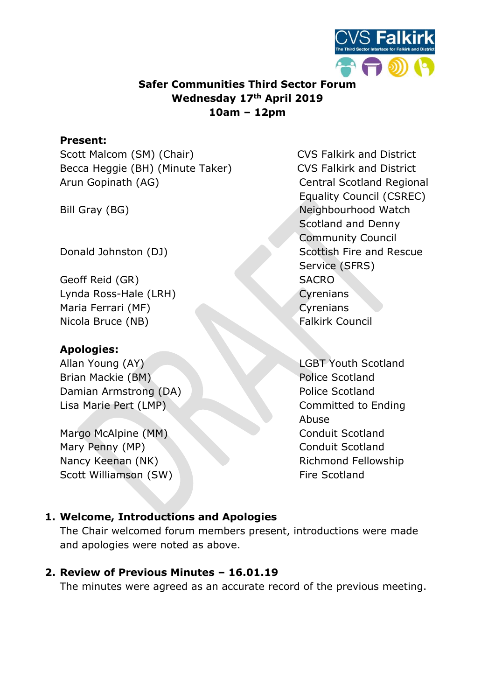

## Safer Communities Third Sector Forum Wednesday 17th April 2019 10am – 12pm

#### Present:

Scott Malcom (SM) (Chair) CVS Falkirk and District Becca Heggie (BH) (Minute Taker) CVS Falkirk and District Arun Gopinath (AG) Central Scotland Regional

Geoff Reid (GR) SACRO Lynda Ross-Hale (LRH) Cyrenians Maria Ferrari (MF) Cyrenians Nicola Bruce (NB) Falkirk Council

## Apologies:

Allan Young (AY) LGBT Youth Scotland Brian Mackie (BM) Police Scotland Damian Armstrong (DA) Police Scotland Lisa Marie Pert (LMP) Committed to Ending

Margo McAlpine (MM) Conduit Scotland Mary Penny (MP) Conduit Scotland Nancy Keenan (NK) Richmond Fellowship Scott Williamson (SW) Fire Scotland

Equality Council (CSREC) Bill Gray (BG) Neighbourhood Watch Scotland and Denny Community Council Donald Johnston (DJ) Scottish Fire and Rescue Service (SFRS)

Abuse

## 1. Welcome, Introductions and Apologies

The Chair welcomed forum members present, introductions were made and apologies were noted as above.

#### 2. Review of Previous Minutes – 16.01.19

The minutes were agreed as an accurate record of the previous meeting.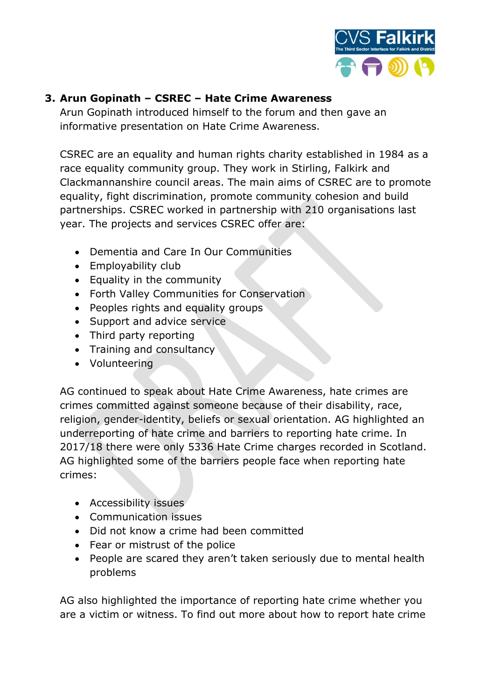

## 3. Arun Gopinath – CSREC – Hate Crime Awareness

Arun Gopinath introduced himself to the forum and then gave an informative presentation on Hate Crime Awareness.

CSREC are an equality and human rights charity established in 1984 as a race equality community group. They work in Stirling, Falkirk and Clackmannanshire council areas. The main aims of CSREC are to promote equality, fight discrimination, promote community cohesion and build partnerships. CSREC worked in partnership with 210 organisations last year. The projects and services CSREC offer are:

- Dementia and Care In Our Communities
- Employability club
- Equality in the community
- Forth Valley Communities for Conservation
- Peoples rights and equality groups
- Support and advice service
- Third party reporting
- Training and consultancy
- Volunteering

AG continued to speak about Hate Crime Awareness, hate crimes are crimes committed against someone because of their disability, race, religion, gender-identity, beliefs or sexual orientation. AG highlighted an underreporting of hate crime and barriers to reporting hate crime. In 2017/18 there were only 5336 Hate Crime charges recorded in Scotland. AG highlighted some of the barriers people face when reporting hate crimes:

- Accessibility issues
- Communication issues
- Did not know a crime had been committed
- Fear or mistrust of the police
- People are scared they aren't taken seriously due to mental health problems

AG also highlighted the importance of reporting hate crime whether you are a victim or witness. To find out more about how to report hate crime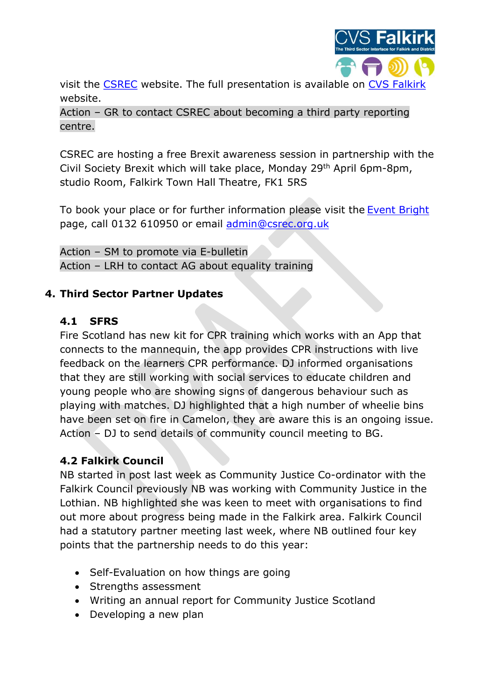

visit the CSREC website. The full presentation is available on CVS Falkirk website.

Action – GR to contact CSREC about becoming a third party reporting centre.

CSREC are hosting a free Brexit awareness session in partnership with the Civil Society Brexit which will take place, Monday 29th April 6pm-8pm, studio Room, Falkirk Town Hall Theatre, FK1 5RS

To book your place or for further information please visit the Event Bright page, call 0132 610950 or email admin@csrec.org.uk

Action – SM to promote via E-bulletin Action – LRH to contact AG about equality training

## 4. Third Sector Partner Updates

## 4.1 SFRS

Fire Scotland has new kit for CPR training which works with an App that connects to the mannequin, the app provides CPR instructions with live feedback on the learners CPR performance. DJ informed organisations that they are still working with social services to educate children and young people who are showing signs of dangerous behaviour such as playing with matches. DJ highlighted that a high number of wheelie bins have been set on fire in Camelon, they are aware this is an ongoing issue. Action – DJ to send details of community council meeting to BG.

# 4.2 Falkirk Council

NB started in post last week as Community Justice Co-ordinator with the Falkirk Council previously NB was working with Community Justice in the Lothian. NB highlighted she was keen to meet with organisations to find out more about progress being made in the Falkirk area. Falkirk Council had a statutory partner meeting last week, where NB outlined four key points that the partnership needs to do this year:

- Self-Evaluation on how things are going
- Strengths assessment
- Writing an annual report for Community Justice Scotland
- Developing a new plan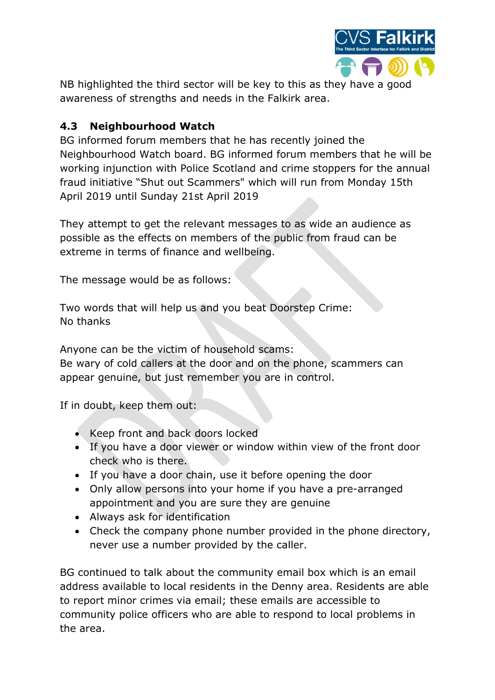

NB highlighted the third sector will be key to this as they have a good awareness of strengths and needs in the Falkirk area.

# 4.3 Neighbourhood Watch

BG informed forum members that he has recently joined the Neighbourhood Watch board. BG informed forum members that he will be working injunction with Police Scotland and crime stoppers for the annual fraud initiative "Shut out Scammers" which will run from Monday 15th April 2019 until Sunday 21st April 2019

They attempt to get the relevant messages to as wide an audience as possible as the effects on members of the public from fraud can be extreme in terms of finance and wellbeing.

The message would be as follows:

Two words that will help us and you beat Doorstep Crime: No thanks

Anyone can be the victim of household scams:

Be wary of cold callers at the door and on the phone, scammers can appear genuine, but just remember you are in control.

If in doubt, keep them out:

- Keep front and back doors locked
- If you have a door viewer or window within view of the front door check who is there.
- If you have a door chain, use it before opening the door
- Only allow persons into your home if you have a pre-arranged appointment and you are sure they are genuine
- Always ask for identification
- Check the company phone number provided in the phone directory, never use a number provided by the caller.

BG continued to talk about the community email box which is an email address available to local residents in the Denny area. Residents are able to report minor crimes via email; these emails are accessible to community police officers who are able to respond to local problems in the area.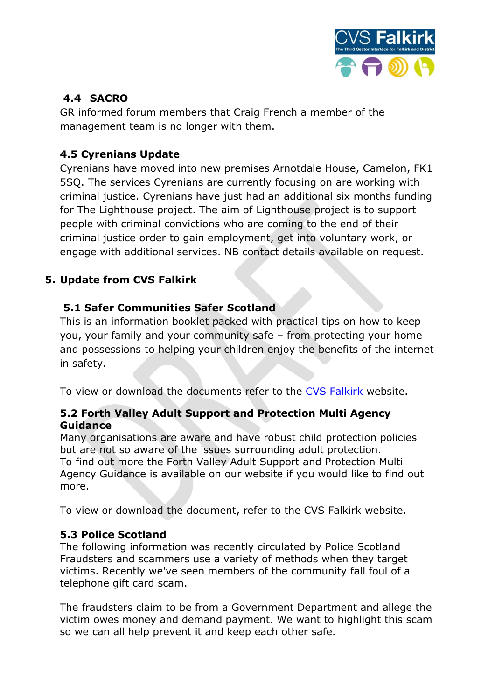

## 4.4 SACRO

GR informed forum members that Craig French a member of the management team is no longer with them.

# 4.5 Cyrenians Update

Cyrenians have moved into new premises Arnotdale House, Camelon, FK1 5SQ. The services Cyrenians are currently focusing on are working with criminal justice. Cyrenians have just had an additional six months funding for The Lighthouse project. The aim of Lighthouse project is to support people with criminal convictions who are coming to the end of their criminal justice order to gain employment, get into voluntary work, or engage with additional services. NB contact details available on request.

# 5. Update from CVS Falkirk

# 5.1 Safer Communities Safer Scotland

This is an information booklet packed with practical tips on how to keep you, your family and your community safe – from protecting your home and possessions to helping your children enjoy the benefits of the internet in safety.

To view or download the documents refer to the CVS Falkirk website.

## 5.2 Forth Valley Adult Support and Protection Multi Agency Guidance

Many organisations are aware and have robust child protection policies but are not so aware of the issues surrounding adult protection. To find out more the Forth Valley Adult Support and Protection Multi Agency Guidance is available on our website if you would like to find out more.

To view or download the document, refer to the CVS Falkirk website.

## 5.3 Police Scotland

The following information was recently circulated by Police Scotland Fraudsters and scammers use a variety of methods when they target victims. Recently we've seen members of the community fall foul of a telephone gift card scam.

The fraudsters claim to be from a Government Department and allege the victim owes money and demand payment. We want to highlight this scam so we can all help prevent it and keep each other safe.